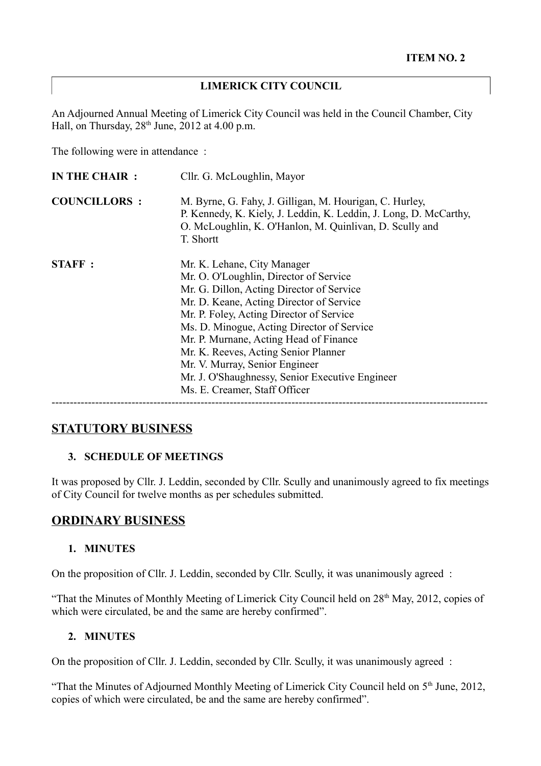## **LIMERICK CITY COUNCIL**

An Adjourned Annual Meeting of Limerick City Council was held in the Council Chamber, City Hall, on Thursday,  $28<sup>th</sup>$  June,  $2012$  at 4.00 p.m.

The following were in attendance :

| <b>IN THE CHAIR:</b> | Cllr. G. McLoughlin, Mayor                                                                                                                                                                                                                                                                                                                                                                                                                                       |
|----------------------|------------------------------------------------------------------------------------------------------------------------------------------------------------------------------------------------------------------------------------------------------------------------------------------------------------------------------------------------------------------------------------------------------------------------------------------------------------------|
| <b>COUNCILLORS:</b>  | M. Byrne, G. Fahy, J. Gilligan, M. Hourigan, C. Hurley,<br>P. Kennedy, K. Kiely, J. Leddin, K. Leddin, J. Long, D. McCarthy,<br>O. McLoughlin, K. O'Hanlon, M. Quinlivan, D. Scully and<br>T. Shortt                                                                                                                                                                                                                                                             |
| <b>STAFF:</b>        | Mr. K. Lehane, City Manager<br>Mr. O. O'Loughlin, Director of Service<br>Mr. G. Dillon, Acting Director of Service<br>Mr. D. Keane, Acting Director of Service<br>Mr. P. Foley, Acting Director of Service<br>Ms. D. Minogue, Acting Director of Service<br>Mr. P. Murnane, Acting Head of Finance<br>Mr. K. Reeves, Acting Senior Planner<br>Mr. V. Murray, Senior Engineer<br>Mr. J. O'Shaughnessy, Senior Executive Engineer<br>Ms. E. Creamer, Staff Officer |

## **STATUTORY BUSINESS**

### **3. SCHEDULE OF MEETINGS**

It was proposed by Cllr. J. Leddin, seconded by Cllr. Scully and unanimously agreed to fix meetings of City Council for twelve months as per schedules submitted.

## **ORDINARY BUSINESS**

#### **1. MINUTES**

On the proposition of Cllr. J. Leddin, seconded by Cllr. Scully, it was unanimously agreed :

"That the Minutes of Monthly Meeting of Limerick City Council held on  $28<sup>th</sup>$  May, 2012, copies of which were circulated, be and the same are hereby confirmed".

### **2. MINUTES**

On the proposition of Cllr. J. Leddin, seconded by Cllr. Scully, it was unanimously agreed :

"That the Minutes of Adjourned Monthly Meeting of Limerick City Council held on 5<sup>th</sup> June, 2012, copies of which were circulated, be and the same are hereby confirmed".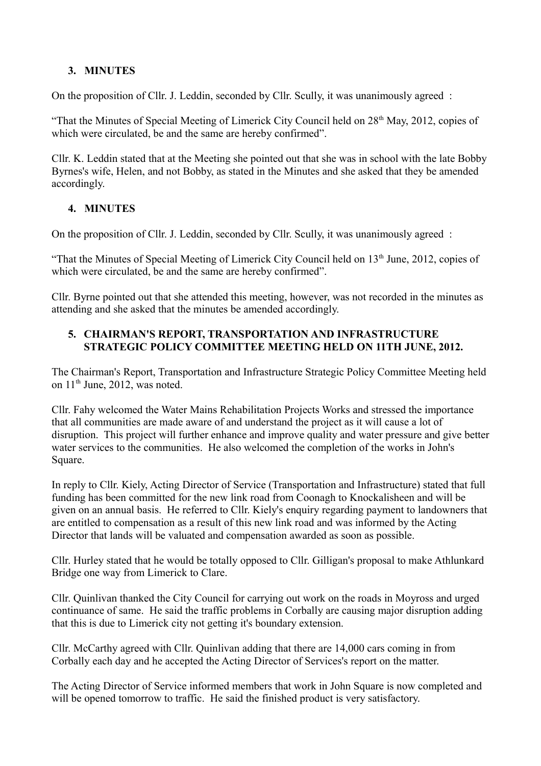## **3. MINUTES**

On the proposition of Cllr. J. Leddin, seconded by Cllr. Scully, it was unanimously agreed :

"That the Minutes of Special Meeting of Limerick City Council held on  $28<sup>th</sup>$  May, 2012, copies of which were circulated, be and the same are hereby confirmed".

Cllr. K. Leddin stated that at the Meeting she pointed out that she was in school with the late Bobby Byrnes's wife, Helen, and not Bobby, as stated in the Minutes and she asked that they be amended accordingly.

## **4. MINUTES**

On the proposition of Cllr. J. Leddin, seconded by Cllr. Scully, it was unanimously agreed :

"That the Minutes of Special Meeting of Limerick City Council held on 13<sup>th</sup> June, 2012, copies of which were circulated, be and the same are hereby confirmed".

Cllr. Byrne pointed out that she attended this meeting, however, was not recorded in the minutes as attending and she asked that the minutes be amended accordingly.

## **5. CHAIRMAN'S REPORT, TRANSPORTATION AND INFRASTRUCTURE STRATEGIC POLICY COMMITTEE MEETING HELD ON 11TH JUNE, 2012.**

The Chairman's Report, Transportation and Infrastructure Strategic Policy Committee Meeting held on 11<sup>th</sup> June, 2012, was noted.

Cllr. Fahy welcomed the Water Mains Rehabilitation Projects Works and stressed the importance that all communities are made aware of and understand the project as it will cause a lot of disruption. This project will further enhance and improve quality and water pressure and give better water services to the communities. He also welcomed the completion of the works in John's Square.

In reply to Cllr. Kiely, Acting Director of Service (Transportation and Infrastructure) stated that full funding has been committed for the new link road from Coonagh to Knockalisheen and will be given on an annual basis. He referred to Cllr. Kiely's enquiry regarding payment to landowners that are entitled to compensation as a result of this new link road and was informed by the Acting Director that lands will be valuated and compensation awarded as soon as possible.

Cllr. Hurley stated that he would be totally opposed to Cllr. Gilligan's proposal to make Athlunkard Bridge one way from Limerick to Clare.

Cllr. Quinlivan thanked the City Council for carrying out work on the roads in Moyross and urged continuance of same. He said the traffic problems in Corbally are causing major disruption adding that this is due to Limerick city not getting it's boundary extension.

Cllr. McCarthy agreed with Cllr. Quinlivan adding that there are 14,000 cars coming in from Corbally each day and he accepted the Acting Director of Services's report on the matter.

The Acting Director of Service informed members that work in John Square is now completed and will be opened tomorrow to traffic. He said the finished product is very satisfactory.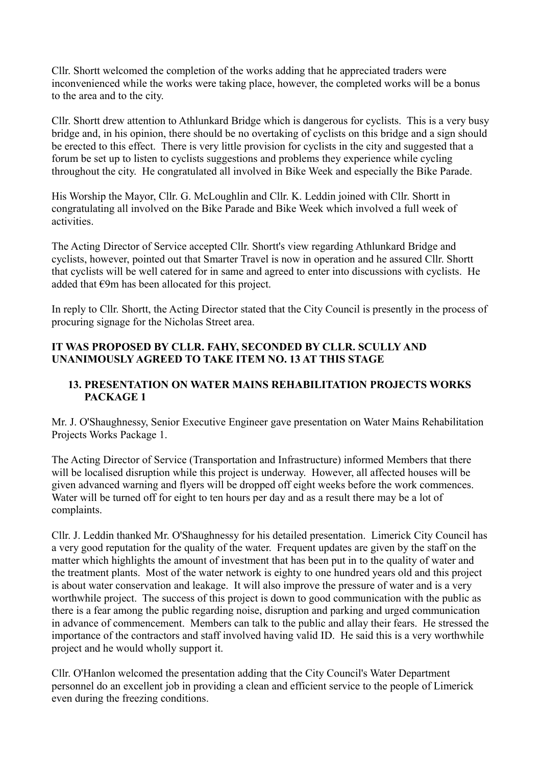Cllr. Shortt welcomed the completion of the works adding that he appreciated traders were inconvenienced while the works were taking place, however, the completed works will be a bonus to the area and to the city.

Cllr. Shortt drew attention to Athlunkard Bridge which is dangerous for cyclists. This is a very busy bridge and, in his opinion, there should be no overtaking of cyclists on this bridge and a sign should be erected to this effect. There is very little provision for cyclists in the city and suggested that a forum be set up to listen to cyclists suggestions and problems they experience while cycling throughout the city. He congratulated all involved in Bike Week and especially the Bike Parade.

His Worship the Mayor, Cllr. G. McLoughlin and Cllr. K. Leddin joined with Cllr. Shortt in congratulating all involved on the Bike Parade and Bike Week which involved a full week of activities.

The Acting Director of Service accepted Cllr. Shortt's view regarding Athlunkard Bridge and cyclists, however, pointed out that Smarter Travel is now in operation and he assured Cllr. Shortt that cyclists will be well catered for in same and agreed to enter into discussions with cyclists. He added that  $\epsilon$ 9m has been allocated for this project.

In reply to Cllr. Shortt, the Acting Director stated that the City Council is presently in the process of procuring signage for the Nicholas Street area.

## **IT WAS PROPOSED BY CLLR. FAHY, SECONDED BY CLLR. SCULLY AND UNANIMOUSLY AGREED TO TAKE ITEM NO. 13 AT THIS STAGE**

### **13. PRESENTATION ON WATER MAINS REHABILITATION PROJECTS WORKS PACKAGE 1**

Mr. J. O'Shaughnessy, Senior Executive Engineer gave presentation on Water Mains Rehabilitation Projects Works Package 1.

The Acting Director of Service (Transportation and Infrastructure) informed Members that there will be localised disruption while this project is underway. However, all affected houses will be given advanced warning and flyers will be dropped off eight weeks before the work commences. Water will be turned off for eight to ten hours per day and as a result there may be a lot of complaints.

Cllr. J. Leddin thanked Mr. O'Shaughnessy for his detailed presentation. Limerick City Council has a very good reputation for the quality of the water. Frequent updates are given by the staff on the matter which highlights the amount of investment that has been put in to the quality of water and the treatment plants. Most of the water network is eighty to one hundred years old and this project is about water conservation and leakage. It will also improve the pressure of water and is a very worthwhile project. The success of this project is down to good communication with the public as there is a fear among the public regarding noise, disruption and parking and urged communication in advance of commencement. Members can talk to the public and allay their fears. He stressed the importance of the contractors and staff involved having valid ID. He said this is a very worthwhile project and he would wholly support it.

Cllr. O'Hanlon welcomed the presentation adding that the City Council's Water Department personnel do an excellent job in providing a clean and efficient service to the people of Limerick even during the freezing conditions.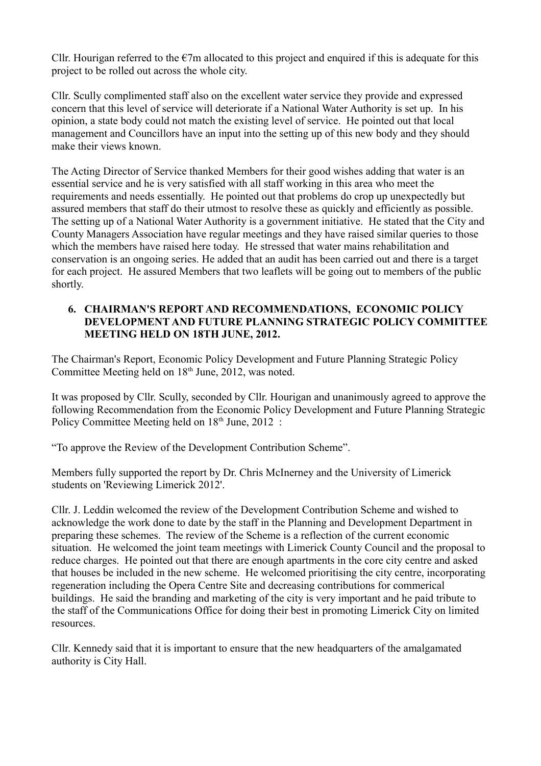Cllr. Hourigan referred to the  $\epsilon$ 7m allocated to this project and enquired if this is adequate for this project to be rolled out across the whole city.

Cllr. Scully complimented staff also on the excellent water service they provide and expressed concern that this level of service will deteriorate if a National Water Authority is set up. In his opinion, a state body could not match the existing level of service. He pointed out that local management and Councillors have an input into the setting up of this new body and they should make their views known.

The Acting Director of Service thanked Members for their good wishes adding that water is an essential service and he is very satisfied with all staff working in this area who meet the requirements and needs essentially. He pointed out that problems do crop up unexpectedly but assured members that staff do their utmost to resolve these as quickly and efficiently as possible. The setting up of a National Water Authority is a government initiative. He stated that the City and County Managers Association have regular meetings and they have raised similar queries to those which the members have raised here today. He stressed that water mains rehabilitation and conservation is an ongoing series. He added that an audit has been carried out and there is a target for each project. He assured Members that two leaflets will be going out to members of the public shortly.

### **6. CHAIRMAN'S REPORT AND RECOMMENDATIONS, ECONOMIC POLICY DEVELOPMENT AND FUTURE PLANNING STRATEGIC POLICY COMMITTEE MEETING HELD ON 18TH JUNE, 2012.**

The Chairman's Report, Economic Policy Development and Future Planning Strategic Policy Committee Meeting held on 18<sup>th</sup> June, 2012, was noted.

It was proposed by Cllr. Scully, seconded by Cllr. Hourigan and unanimously agreed to approve the following Recommendation from the Economic Policy Development and Future Planning Strategic Policy Committee Meeting held on  $18<sup>th</sup>$  June, 2012 :

"To approve the Review of the Development Contribution Scheme".

Members fully supported the report by Dr. Chris McInerney and the University of Limerick students on 'Reviewing Limerick 2012'.

Cllr. J. Leddin welcomed the review of the Development Contribution Scheme and wished to acknowledge the work done to date by the staff in the Planning and Development Department in preparing these schemes. The review of the Scheme is a reflection of the current economic situation. He welcomed the joint team meetings with Limerick County Council and the proposal to reduce charges. He pointed out that there are enough apartments in the core city centre and asked that houses be included in the new scheme. He welcomed prioritising the city centre, incorporating regeneration including the Opera Centre Site and decreasing contributions for commerical buildings. He said the branding and marketing of the city is very important and he paid tribute to the staff of the Communications Office for doing their best in promoting Limerick City on limited resources.

Cllr. Kennedy said that it is important to ensure that the new headquarters of the amalgamated authority is City Hall.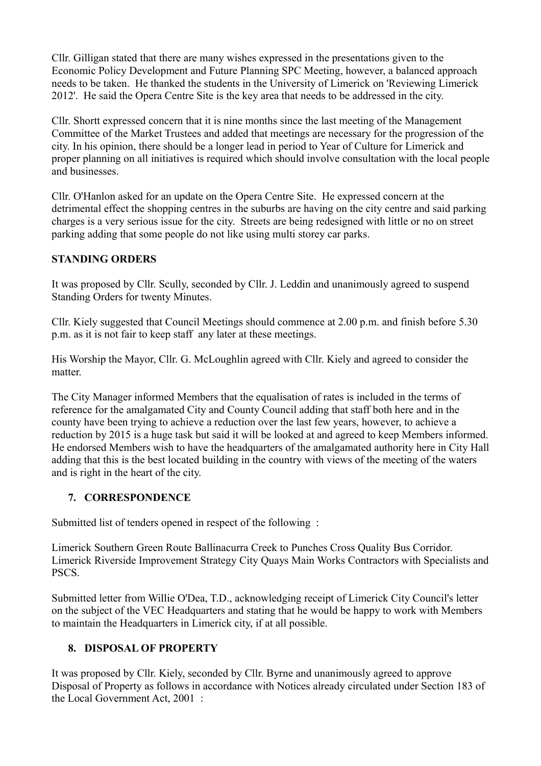Cllr. Gilligan stated that there are many wishes expressed in the presentations given to the Economic Policy Development and Future Planning SPC Meeting, however, a balanced approach needs to be taken. He thanked the students in the University of Limerick on 'Reviewing Limerick 2012'. He said the Opera Centre Site is the key area that needs to be addressed in the city.

Cllr. Shortt expressed concern that it is nine months since the last meeting of the Management Committee of the Market Trustees and added that meetings are necessary for the progression of the city. In his opinion, there should be a longer lead in period to Year of Culture for Limerick and proper planning on all initiatives is required which should involve consultation with the local people and businesses.

Cllr. O'Hanlon asked for an update on the Opera Centre Site. He expressed concern at the detrimental effect the shopping centres in the suburbs are having on the city centre and said parking charges is a very serious issue for the city. Streets are being redesigned with little or no on street parking adding that some people do not like using multi storey car parks.

### **STANDING ORDERS**

It was proposed by Cllr. Scully, seconded by Cllr. J. Leddin and unanimously agreed to suspend Standing Orders for twenty Minutes.

Cllr. Kiely suggested that Council Meetings should commence at 2.00 p.m. and finish before 5.30 p.m. as it is not fair to keep staff any later at these meetings.

His Worship the Mayor, Cllr. G. McLoughlin agreed with Cllr. Kiely and agreed to consider the matter.

The City Manager informed Members that the equalisation of rates is included in the terms of reference for the amalgamated City and County Council adding that staff both here and in the county have been trying to achieve a reduction over the last few years, however, to achieve a reduction by 2015 is a huge task but said it will be looked at and agreed to keep Members informed. He endorsed Members wish to have the headquarters of the amalgamated authority here in City Hall adding that this is the best located building in the country with views of the meeting of the waters and is right in the heart of the city.

## **7. CORRESPONDENCE**

Submitted list of tenders opened in respect of the following :

Limerick Southern Green Route Ballinacurra Creek to Punches Cross Quality Bus Corridor. Limerick Riverside Improvement Strategy City Quays Main Works Contractors with Specialists and PSCS.

Submitted letter from Willie O'Dea, T.D., acknowledging receipt of Limerick City Council's letter on the subject of the VEC Headquarters and stating that he would be happy to work with Members to maintain the Headquarters in Limerick city, if at all possible.

# **8. DISPOSAL OF PROPERTY**

It was proposed by Cllr. Kiely, seconded by Cllr. Byrne and unanimously agreed to approve Disposal of Property as follows in accordance with Notices already circulated under Section 183 of the Local Government Act, 2001 :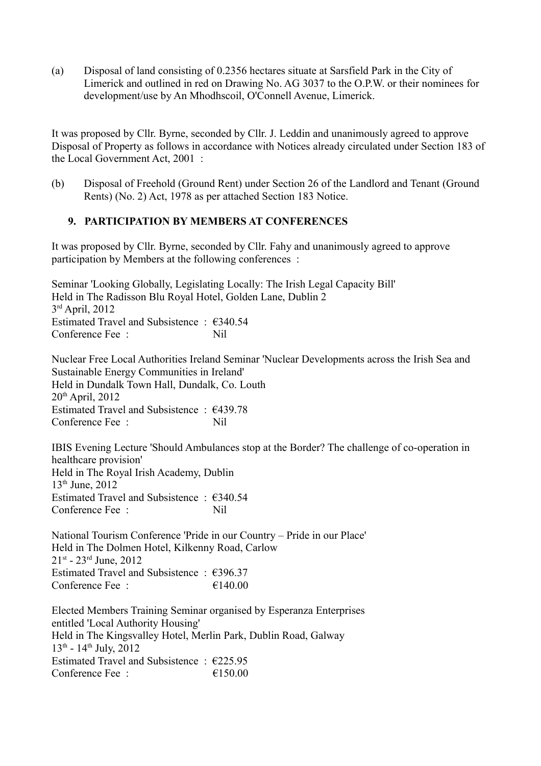(a) Disposal of land consisting of 0.2356 hectares situate at Sarsfield Park in the City of Limerick and outlined in red on Drawing No. AG 3037 to the O.P.W. or their nominees for development/use by An Mhodhscoil, O'Connell Avenue, Limerick.

It was proposed by Cllr. Byrne, seconded by Cllr. J. Leddin and unanimously agreed to approve Disposal of Property as follows in accordance with Notices already circulated under Section 183 of the Local Government Act, 2001 :

(b) Disposal of Freehold (Ground Rent) under Section 26 of the Landlord and Tenant (Ground Rents) (No. 2) Act, 1978 as per attached Section 183 Notice.

## **9. PARTICIPATION BY MEMBERS AT CONFERENCES**

It was proposed by Cllr. Byrne, seconded by Cllr. Fahy and unanimously agreed to approve participation by Members at the following conferences :

Seminar 'Looking Globally, Legislating Locally: The Irish Legal Capacity Bill' Held in The Radisson Blu Royal Hotel, Golden Lane, Dublin 2 3 rd April, 2012 Estimated Travel and Subsistence : €340.54 Conference Fee : Nil

Nuclear Free Local Authorities Ireland Seminar 'Nuclear Developments across the Irish Sea and Sustainable Energy Communities in Ireland' Held in Dundalk Town Hall, Dundalk, Co. Louth  $20<sup>th</sup>$  April,  $2012$ Estimated Travel and Subsistence : €439.78 Conference Fee : Nil

IBIS Evening Lecture 'Should Ambulances stop at the Border? The challenge of co-operation in healthcare provision' Held in The Royal Irish Academy, Dublin  $13<sup>th</sup>$  June,  $2012$ Estimated Travel and Subsistence : €340.54 Conference Fee : Nil

National Tourism Conference 'Pride in our Country – Pride in our Place' Held in The Dolmen Hotel, Kilkenny Road, Carlow  $21^{st}$  -  $23^{rd}$  June,  $2012$ Estimated Travel and Subsistence :  $\epsilon$ 396.37 Conference Fee  $\cdot$   $\epsilon$  140.00

Elected Members Training Seminar organised by Esperanza Enterprises entitled 'Local Authority Housing' Held in The Kingsvalley Hotel, Merlin Park, Dublin Road, Galway  $13^{th}$  -  $14^{th}$  July, 2012 Estimated Travel and Subsistence :  $\epsilon$ 225.95 Conference Fee  $\cdot$   $\epsilon$  150.00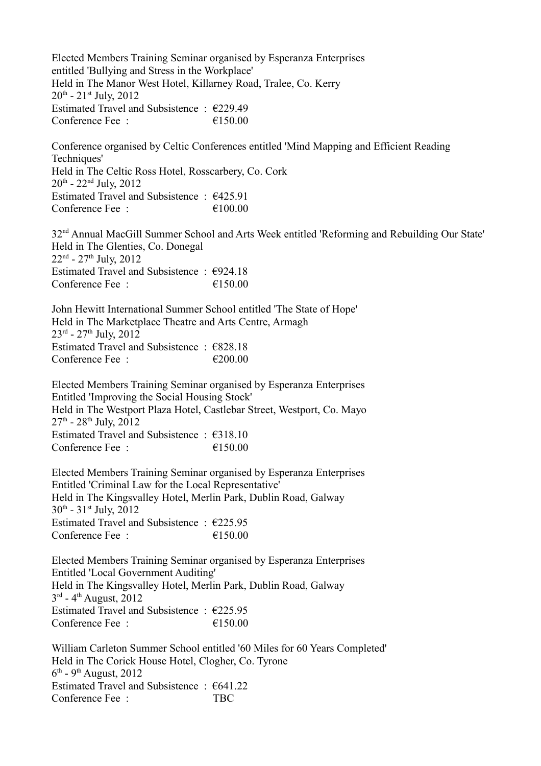Elected Members Training Seminar organised by Esperanza Enterprises entitled 'Bullying and Stress in the Workplace' Held in The Manor West Hotel, Killarney Road, Tralee, Co. Kerry  $20^{th}$  -  $21^{st}$  July,  $2012$ Estimated Travel and Subsistence : €229.49 Conference Fee :  $\epsilon$  =  $\epsilon$  150.00 Conference organised by Celtic Conferences entitled 'Mind Mapping and Efficient Reading Techniques' Held in The Celtic Ross Hotel, Rosscarbery, Co. Cork  $20^{th}$  -  $22^{nd}$  July,  $2012$ Estimated Travel and Subsistence :  $6425.91$ Conference Fee :  $\epsilon$  100.00 32nd Annual MacGill Summer School and Arts Week entitled 'Reforming and Rebuilding Our State' Held in The Glenties, Co. Donegal  $22<sup>nd</sup> - 27<sup>th</sup> July, 2012$ Estimated Travel and Subsistence : €924.18 Conference Fee :  $\epsilon$  = 6150.00 John Hewitt International Summer School entitled 'The State of Hope' Held in The Marketplace Theatre and Arts Centre, Armagh  $23^{rd}$  -  $27^{th}$  July,  $2012$ Estimated Travel and Subsistence : €828.18 Conference Fee :  $\epsilon$  200.00 Elected Members Training Seminar organised by Esperanza Enterprises Entitled 'Improving the Social Housing Stock' Held in The Westport Plaza Hotel, Castlebar Street, Westport, Co. Mayo  $27<sup>th</sup>$  -  $28<sup>th</sup>$  July,  $2012$ Estimated Travel and Subsistence : €318.10 Conference Fee  $\cdot$   $\epsilon$ 150.00 Elected Members Training Seminar organised by Esperanza Enterprises Entitled 'Criminal Law for the Local Representative' Held in The Kingsvalley Hotel, Merlin Park, Dublin Road, Galway  $30^{th}$  - 31st July, 2012 Estimated Travel and Subsistence :  $\epsilon$ 225.95 Conference Fee :  $\epsilon$  = 6150.00 Elected Members Training Seminar organised by Esperanza Enterprises Entitled 'Local Government Auditing' Held in The Kingsvalley Hotel, Merlin Park, Dublin Road, Galway  $3<sup>rd</sup>$  - 4<sup>th</sup> August, 2012 Estimated Travel and Subsistence :  $\epsilon$ 225.95 Conference Fee  $\cdot$   $\epsilon$ 150.00 William Carleton Summer School entitled '60 Miles for 60 Years Completed' Held in The Corick House Hotel, Clogher, Co. Tyrone  $6<sup>th</sup>$  - 9<sup>th</sup> August, 2012 Estimated Travel and Subsistence : €641.22 Conference Fee : TBC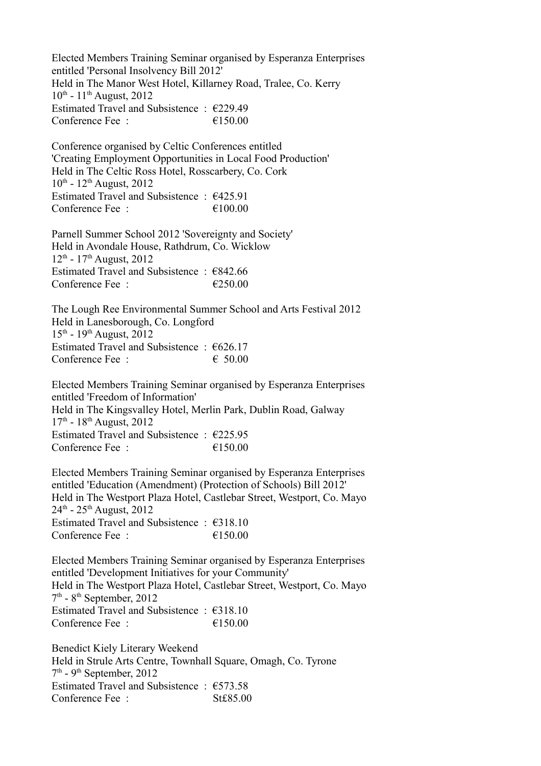Elected Members Training Seminar organised by Esperanza Enterprises entitled 'Personal Insolvency Bill 2012' Held in The Manor West Hotel, Killarney Road, Tralee, Co. Kerry  $10^{th}$  - 11<sup>th</sup> August, 2012 Estimated Travel and Subsistence :  $\epsilon$ 229.49 Conference Fee :  $\epsilon$  =  $\epsilon$  150.00

Conference organised by Celtic Conferences entitled 'Creating Employment Opportunities in Local Food Production' Held in The Celtic Ross Hotel, Rosscarbery, Co. Cork  $10^{th}$  -  $12^{th}$  August, 2012 Estimated Travel and Subsistence :  $6425.91$ Conference Fee :  $\epsilon$  100.00

Parnell Summer School 2012 'Sovereignty and Society' Held in Avondale House, Rathdrum, Co. Wicklow  $12^{th}$  -  $17^{th}$  August, 2012 Estimated Travel and Subsistence : €842.66 Conference Fee :  $\epsilon$  250.00

The Lough Ree Environmental Summer School and Arts Festival 2012 Held in Lanesborough, Co. Longford  $15^{th}$  -  $19^{th}$  August,  $2012$ Estimated Travel and Subsistence :  $\epsilon$ 626.17 Conference Fee :  $\epsilon$  50.00

Elected Members Training Seminar organised by Esperanza Enterprises entitled 'Freedom of Information' Held in The Kingsvalley Hotel, Merlin Park, Dublin Road, Galway  $17^{\text{th}}$  -  $18^{\text{th}}$  August, 2012 Estimated Travel and Subsistence :  $\epsilon$ 225.95 Conference Fee :  $\epsilon$  =  $\epsilon$  150.00

Elected Members Training Seminar organised by Esperanza Enterprises entitled 'Education (Amendment) (Protection of Schools) Bill 2012' Held in The Westport Plaza Hotel, Castlebar Street, Westport, Co. Mayo  $24^{\text{th}}$  -  $25^{\text{th}}$  August, 2012 Estimated Travel and Subsistence : €318.10 Conference Fee :  $\epsilon$  = 6150.00

Elected Members Training Seminar organised by Esperanza Enterprises entitled 'Development Initiatives for your Community' Held in The Westport Plaza Hotel, Castlebar Street, Westport, Co. Mayo 7 th - 8th September, 2012 Estimated Travel and Subsistence : €318.10 Conference Fee  $\cdot$   $\epsilon$  150.00

Benedict Kiely Literary Weekend Held in Strule Arts Centre, Townhall Square, Omagh, Co. Tyrone 7 th - 9th September, 2012 Estimated Travel and Subsistence :  $\epsilon$ 573.58 Conference Fee : St£85.00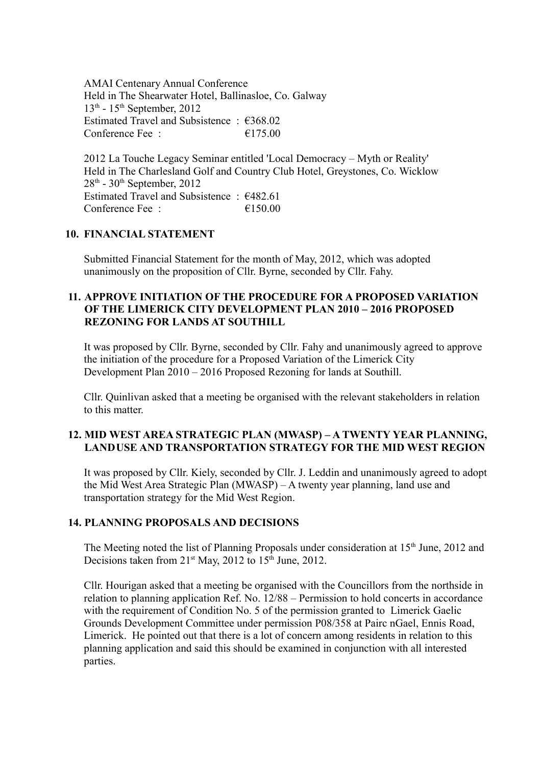AMAI Centenary Annual Conference Held in The Shearwater Hotel, Ballinasloe, Co. Galway  $13<sup>th</sup>$  -  $15<sup>th</sup>$  September, 2012 Estimated Travel and Subsistence : €368.02 Conference Fee :  $\epsilon$  =  $\epsilon$  175.00

2012 La Touche Legacy Seminar entitled 'Local Democracy – Myth or Reality' Held in The Charlesland Golf and Country Club Hotel, Greystones, Co. Wicklow  $28<sup>th</sup>$  - 30<sup>th</sup> September, 2012 Estimated Travel and Subsistence :  $\epsilon$ 482.61 Conference Fee :  $\epsilon$  150.00

### **10. FINANCIAL STATEMENT**

Submitted Financial Statement for the month of May, 2012, which was adopted unanimously on the proposition of Cllr. Byrne, seconded by Cllr. Fahy.

### **11. APPROVE INITIATION OF THE PROCEDURE FOR A PROPOSED VARIATION OF THE LIMERICK CITY DEVELOPMENT PLAN 2010 – 2016 PROPOSED REZONING FOR LANDS AT SOUTHILL**

 It was proposed by Cllr. Byrne, seconded by Cllr. Fahy and unanimously agreed to approve the initiation of the procedure for a Proposed Variation of the Limerick City Development Plan 2010 – 2016 Proposed Rezoning for lands at Southill.

Cllr. Quinlivan asked that a meeting be organised with the relevant stakeholders in relation to this matter.

### **12. MID WEST AREA STRATEGIC PLAN (MWASP) – A TWENTY YEAR PLANNING, LANDUSE AND TRANSPORTATION STRATEGY FOR THE MID WEST REGION**

It was proposed by Cllr. Kiely, seconded by Cllr. J. Leddin and unanimously agreed to adopt the Mid West Area Strategic Plan (MWASP) – A twenty year planning, land use and transportation strategy for the Mid West Region.

#### **14. PLANNING PROPOSALS AND DECISIONS**

The Meeting noted the list of Planning Proposals under consideration at 15<sup>th</sup> June, 2012 and Decisions taken from  $21^{st}$  May, 2012 to  $15^{th}$  June, 2012.

Cllr. Hourigan asked that a meeting be organised with the Councillors from the northside in relation to planning application Ref. No. 12/88 – Permission to hold concerts in accordance with the requirement of Condition No. 5 of the permission granted to Limerick Gaelic Grounds Development Committee under permission P08/358 at Pairc nGael, Ennis Road, Limerick. He pointed out that there is a lot of concern among residents in relation to this planning application and said this should be examined in conjunction with all interested parties.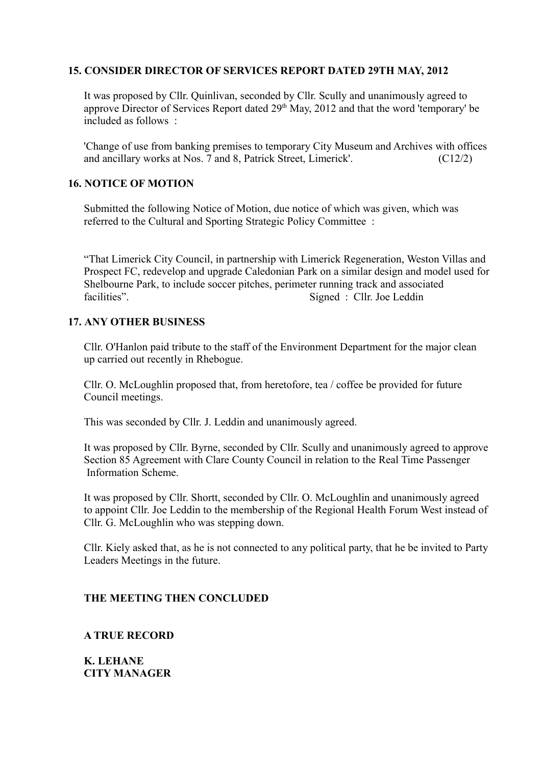### **15. CONSIDER DIRECTOR OF SERVICES REPORT DATED 29TH MAY, 2012**

It was proposed by Cllr. Quinlivan, seconded by Cllr. Scully and unanimously agreed to approve Director of Services Report dated 29<sup>th</sup> May, 2012 and that the word 'temporary' be included as follows :

'Change of use from banking premises to temporary City Museum and Archives with offices and ancillary works at Nos. 7 and 8, Patrick Street, Limerick'. (C12/2)

#### **16. NOTICE OF MOTION**

Submitted the following Notice of Motion, due notice of which was given, which was referred to the Cultural and Sporting Strategic Policy Committee :

"That Limerick City Council, in partnership with Limerick Regeneration, Weston Villas and Prospect FC, redevelop and upgrade Caledonian Park on a similar design and model used for Shelbourne Park, to include soccer pitches, perimeter running track and associated facilities". Signed : Cllr. Joe Leddin

#### **17. ANY OTHER BUSINESS**

Cllr. O'Hanlon paid tribute to the staff of the Environment Department for the major clean up carried out recently in Rhebogue.

Cllr. O. McLoughlin proposed that, from heretofore, tea / coffee be provided for future Council meetings.

This was seconded by Cllr. J. Leddin and unanimously agreed.

It was proposed by Cllr. Byrne, seconded by Cllr. Scully and unanimously agreed to approve Section 85 Agreement with Clare County Council in relation to the Real Time Passenger Information Scheme.

It was proposed by Cllr. Shortt, seconded by Cllr. O. McLoughlin and unanimously agreed to appoint Cllr. Joe Leddin to the membership of the Regional Health Forum West instead of Cllr. G. McLoughlin who was stepping down.

Cllr. Kiely asked that, as he is not connected to any political party, that he be invited to Party Leaders Meetings in the future.

#### **THE MEETING THEN CONCLUDED**

#### **A TRUE RECORD**

**K. LEHANE CITY MANAGER**